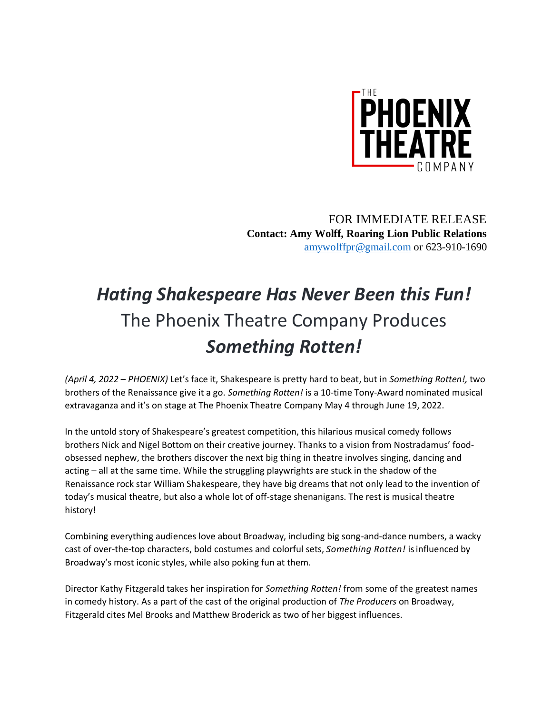

FOR IMMEDIATE RELEASE **Contact: Amy Wolff, Roaring Lion Public Relations** [amywolffpr@gmail.com](mailto:amywolffpr@gmail.com) or 623-910-1690

## *Hating Shakespeare Has Never Been this Fun!* The Phoenix Theatre Company Produces *Something Rotten!*

*(April 4, 2022 – PHOENIX)* Let's face it, Shakespeare is pretty hard to beat, but in *Something Rotten!,* two brothers of the Renaissance give it a go. *Something Rotten!* is a 10-time Tony-Award nominated musical extravaganza and it's on stage at The Phoenix Theatre Company May 4 through June 19, 2022.

In the untold story of Shakespeare's greatest competition, this hilarious musical comedy follows brothers Nick and Nigel Bottom on their creative journey. Thanks to a vision from Nostradamus' foodobsessed nephew, the brothers discover the next big thing in theatre involves singing, dancing and acting – all at the same time. While the struggling playwrights are stuck in the shadow of the Renaissance rock star William Shakespeare, they have big dreams that not only lead to the invention of today's musical theatre, but also a whole lot of off-stage shenanigans. The rest is musical theatre history!

Combining everything audiences love about Broadway, including big song-and-dance numbers, a wacky cast of over-the-top characters, bold costumes and colorful sets, *Something Rotten!* isinfluenced by Broadway's most iconic styles, while also poking fun at them.

Director Kathy Fitzgerald takes her inspiration for *Something Rotten!* from some of the greatest names in comedy history. As a part of the cast of the original production of *The Producers* on Broadway, Fitzgerald cites Mel Brooks and Matthew Broderick as two of her biggest influences.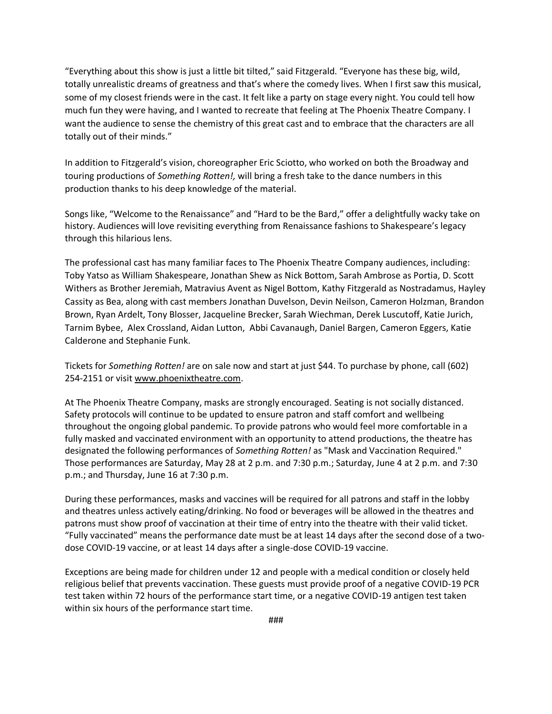"Everything about this show is just a little bit tilted," said Fitzgerald. "Everyone has these big, wild, totally unrealistic dreams of greatness and that's where the comedy lives. When I first saw this musical, some of my closest friends were in the cast. It felt like a party on stage every night. You could tell how much fun they were having, and I wanted to recreate that feeling at The Phoenix Theatre Company. I want the audience to sense the chemistry of this great cast and to embrace that the characters are all totally out of their minds."

In addition to Fitzgerald's vision, choreographer Eric Sciotto, who worked on both the Broadway and touring productions of *Something Rotten!,* will bring a fresh take to the dance numbers in this production thanks to his deep knowledge of the material.

Songs like, "Welcome to the Renaissance" and "Hard to be the Bard," offer a delightfully wacky take on history. Audiences will love revisiting everything from Renaissance fashions to Shakespeare's legacy through this hilarious lens.

The professional cast has many familiar faces to The Phoenix Theatre Company audiences, including: Toby Yatso as William Shakespeare, Jonathan Shew as Nick Bottom, Sarah Ambrose as Portia, D. Scott Withers as Brother Jeremiah, Matravius Avent as Nigel Bottom, Kathy Fitzgerald as Nostradamus, Hayley Cassity as Bea, along with cast members Jonathan Duvelson, Devin Neilson, Cameron Holzman, Brandon Brown, Ryan Ardelt, Tony Blosser, Jacqueline Brecker, Sarah Wiechman, Derek Luscutoff, Katie Jurich, Tarnim Bybee, Alex Crossland, Aidan Lutton, Abbi Cavanaugh, Daniel Bargen, Cameron Eggers, Katie Calderone and Stephanie Funk.

Tickets for *Something Rotten!* are on sale now and start at just \$44. To purchase by phone, call (602) 254-2151 or visit [www.phoenixtheatre.com.](http://www.phoenixtheatre.com/)

At The Phoenix Theatre Company, masks are strongly encouraged. Seating is not socially distanced. Safety protocols will continue to be updated to ensure patron and staff comfort and wellbeing throughout the ongoing global pandemic. To provide patrons who would feel more comfortable in a fully masked and vaccinated environment with an opportunity to attend productions, the theatre has designated the following performances of *Something Rotten!* as "Mask and Vaccination Required." Those performances are Saturday, May 28 at 2 p.m. and 7:30 p.m.; Saturday, June 4 at 2 p.m. and 7:30 p.m.; and Thursday, June 16 at 7:30 p.m.

During these performances, masks and vaccines will be required for all patrons and staff in the lobby and theatres unless actively eating/drinking. No food or beverages will be allowed in the theatres and patrons must show proof of vaccination at their time of entry into the theatre with their valid ticket. "Fully vaccinated" means the performance date must be at least 14 days after the second dose of a twodose COVID-19 vaccine, or at least 14 days after a single-dose COVID-19 vaccine.

Exceptions are being made for children under 12 and people with a medical condition or closely held religious belief that prevents vaccination. These guests must provide proof of a negative COVID-19 PCR test taken within 72 hours of the performance start time, or a negative COVID-19 antigen test taken within six hours of the performance start time.